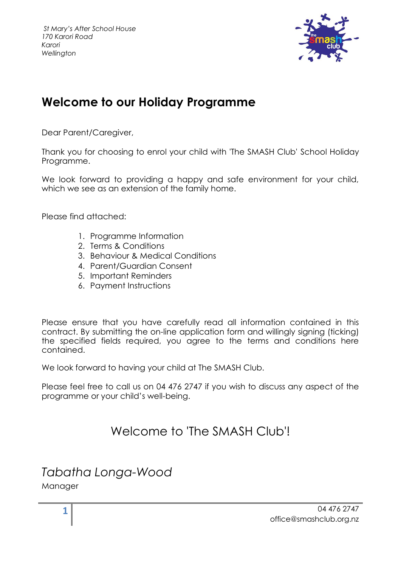

### **Welcome to our Holiday Programme**

Dear Parent/Caregiver,

Thank you for choosing to enrol your child with 'The SMASH Club' School Holiday Programme.

We look forward to providing a happy and safe environment for your child, which we see as an extension of the family home.

Please find attached:

- 1. Programme Information
- 2. Terms & Conditions
- 3. Behaviour & Medical Conditions
- 4. Parent/Guardian Consent
- 5. Important Reminders
- 6. Payment Instructions

Please ensure that you have carefully read all information contained in this contract. By submitting the on-line application form and willingly signing (ticking) the specified fields required, you agree to the terms and conditions here contained.

We look forward to having your child at The SMASH Club.

Please feel free to call us on 04 476 2747 if you wish to discuss any aspect of the programme or your child's well-being.

### Welcome to 'The SMASH Club'!

### *Tabatha Longa-Wood*

Manager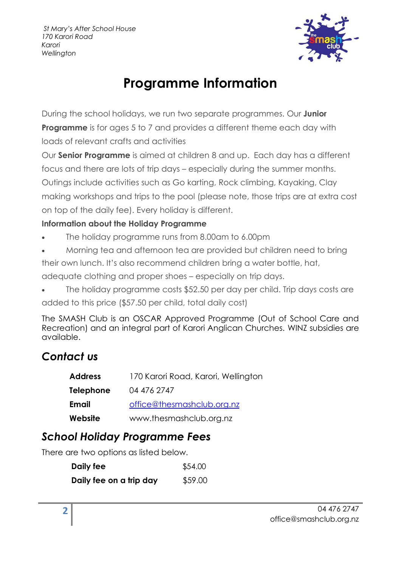

# **Programme Information**

During the school holidays, we run two separate programmes. Our **Junior Programme** is for ages 5 to 7 and provides a different theme each day with loads of relevant crafts and activities

Our **Senior Programme** is aimed at children 8 and up. Each day has a different focus and there are lots of trip days – especially during the summer months. Outings include activities such as Go karting, Rock climbing, Kayaking, Clay making workshops and trips to the pool (please note, those trips are at extra cost on top of the daily fee). Every holiday is different.

### **Information about the Holiday Programme**

- The holiday programme runs from 8.00am to 6.00pm
- Morning tea and afternoon tea are provided but children need to bring

their own lunch. It's also recommend children bring a water bottle, hat,

adequate clothing and proper shoes – especially on trip days.

• The holiday programme costs \$52.50 per day per child. Trip days costs are added to this price (\$57.50 per child, total daily cost)

The SMASH Club is an OSCAR Approved Programme (Out of School Care and Recreation) and an integral part of Karori Anglican Churches. WINZ subsidies are available.

### *Contact us*

| <b>Address</b>   | 170 Karori Road, Karori, Wellington |
|------------------|-------------------------------------|
| <b>Telephone</b> | 04 476 2747                         |
| <b>Email</b>     | office@thesmashclub.org.nz          |
| Website          | www.thesmashclub.org.nz             |

### *School Holiday Programme Fees*

There are two options as listed below.

| Daily fee               | \$54.00 |
|-------------------------|---------|
| Daily fee on a trip day | \$59.00 |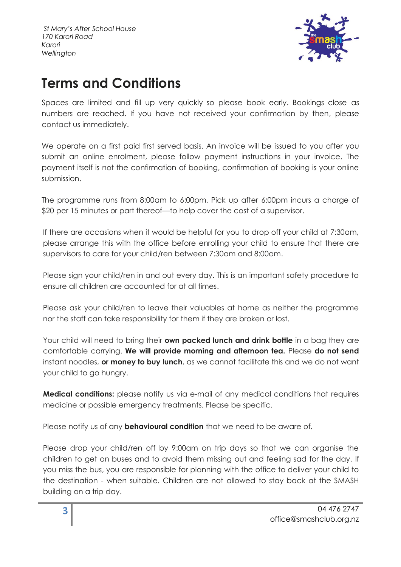

## **Terms and Conditions**

Spaces are limited and fill up very quickly so please book early. Bookings close as numbers are reached. If you have not received your confirmation by then, please contact us immediately.

We operate on a first paid first served basis. An invoice will be issued to you after you submit an online enrolment, please follow payment instructions in your invoice. The payment itself is not the confirmation of booking, confirmation of booking is your online submission.

The programme runs from 8:00am to 6:00pm. Pick up after 6:00pm incurs a charge of \$20 per 15 minutes or part thereof—to help cover the cost of a supervisor.

If there are occasions when it would be helpful for you to drop off your child at 7:30am, please arrange this with the office before enrolling your child to ensure that there are supervisors to care for your child/ren between 7:30am and 8:00am.

Please sign your child/ren in and out every day. This is an important safety procedure to ensure all children are accounted for at all times.

Please ask your child/ren to leave their valuables at home as neither the programme nor the staff can take responsibility for them if they are broken or lost.

Your child will need to bring their **own packed lunch and drink bottle** in a bag they are comfortable carrying. **We will provide morning and afternoon tea.** Please **do not send** instant noodles, **or money to buy lunch**, as we cannot facilitate this and we do not want your child to go hungry.

**Medical conditions:** please notify us via e-mail of any medical conditions that requires medicine or possible emergency treatments. Please be specific.

Please notify us of any **behavioural condition** that we need to be aware of.

Please drop your child/ren off by 9:00am on trip days so that we can organise the children to get on buses and to avoid them missing out and feeling sad for the day. If you miss the bus, you are responsible for planning with the office to deliver your child to the destination - when suitable. Children are not allowed to stay back at the SMASH building on a trip day.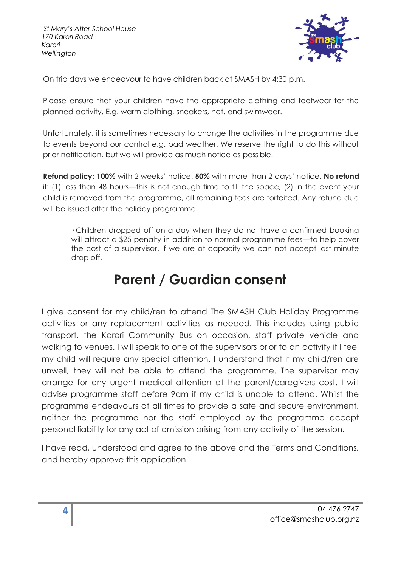

On trip days we endeavour to have children back at SMASH by 4:30 p.m.

Please ensure that your children have the appropriate clothing and footwear for the planned activity. E.g. warm clothing, sneakers, hat, and swimwear.

Unfortunately, it is sometimes necessary to change the activities in the programme due to events beyond our control e.g. bad weather. We reserve the right to do this without prior notification, but we will provide as much notice as possible.

**Refund policy: 100%** with 2 weeks' notice. **50%** with more than 2 days' notice. **No refund**  if: (1) less than 48 hours—this is not enough time to fill the space, (2) in the event your child is removed from the programme, all remaining fees are forfeited. Any refund due will be issued after the holiday programme.

· Children dropped off on a day when they do not have a confirmed booking will attract a \$25 penalty in addition to normal programme fees—to help cover the cost of a supervisor. If we are at capacity we can not accept last minute drop off.

## **Parent / Guardian consent**

I give consent for my child/ren to attend The SMASH Club Holiday Programme activities or any replacement activities as needed. This includes using public transport, the Karori Community Bus on occasion, staff private vehicle and walking to venues. I will speak to one of the supervisors prior to an activity if I feel my child will require any special attention. I understand that if my child/ren are unwell, they will not be able to attend the programme. The supervisor may arrange for any urgent medical attention at the parent/caregivers cost. I will advise programme staff before 9am if my child is unable to attend. Whilst the programme endeavours at all times to provide a safe and secure environment, neither the programme nor the staff employed by the programme accept personal liability for any act of omission arising from any activity of the session.

I have read, understood and agree to the above and the Terms and Conditions, and hereby approve this application.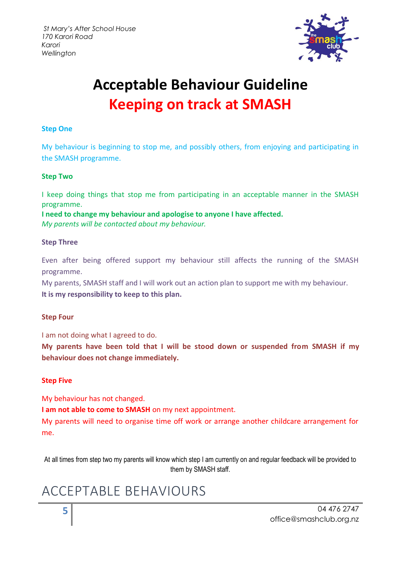

# **Acceptable Behaviour Guideline Keeping on track at SMASH**

#### **Step One**

My behaviour is beginning to stop me, and possibly others, from enjoying and participating in the SMASH programme.

#### **Step Two**

I keep doing things that stop me from participating in an acceptable manner in the SMASH programme.

**I need to change my behaviour and apologise to anyone I have affected.**  *My parents will be contacted about my behaviour.*

#### **Step Three**

Even after being offered support my behaviour still affects the running of the SMASH programme.

My parents, SMASH staff and I will work out an action plan to support me with my behaviour. **It is my responsibility to keep to this plan.**

#### **Step Four**

I am not doing what I agreed to do.

**My parents have been told that I will be stood down or suspended from SMASH if my behaviour does not change immediately.**

#### **Step Five**

My behaviour has not changed.

**I am not able to come to SMASH** on my next appointment.

My parents will need to organise time off work or arrange another childcare arrangement for me.

At all times from step two my parents will know which step I am currently on and regular feedback will be provided to them by SMASH staff.

## ACCEPTABLE BEHAVIOURS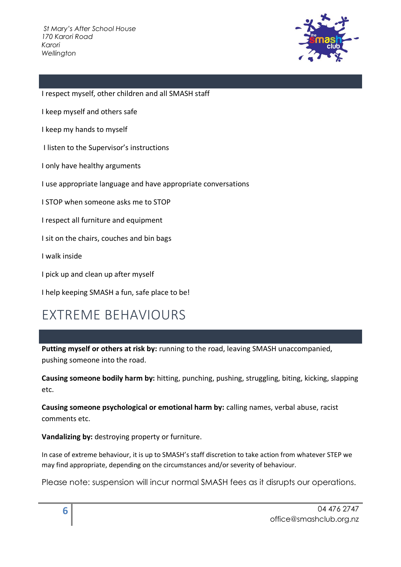

I respect myself, other children and all SMASH staff

I keep myself and others safe

I keep my hands to myself

I listen to the Supervisor's instructions

I only have healthy arguments

I use appropriate language and have appropriate conversations

I STOP when someone asks me to STOP

I respect all furniture and equipment

I sit on the chairs, couches and bin bags

I walk inside

I pick up and clean up after myself

I help keeping SMASH a fun, safe place to be!

## EXTREME BEHAVIOURS

**Putting myself or others at risk by:** running to the road, leaving SMASH unaccompanied, pushing someone into the road.

**Causing someone bodily harm by:** hitting, punching, pushing, struggling, biting, kicking, slapping etc.

**Causing someone psychological or emotional harm by:** calling names, verbal abuse, racist comments etc.

**Vandalizing by:** destroying property or furniture.

In case of extreme behaviour, it is up to SMASH's staff discretion to take action from whatever STEP we may find appropriate, depending on the circumstances and/or severity of behaviour.

Please note: suspension will incur normal SMASH fees as it disrupts our operations.